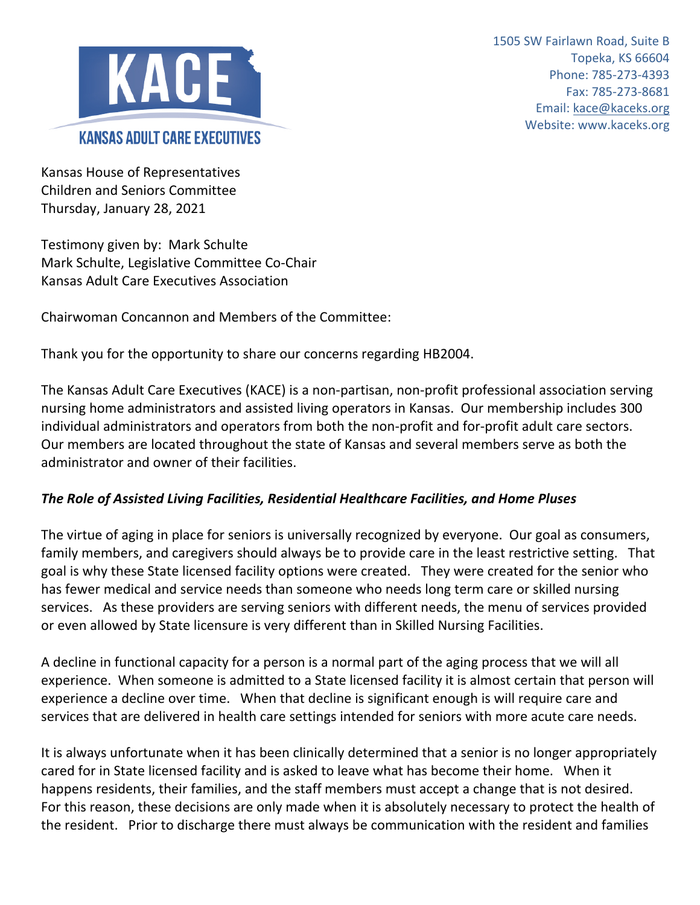

1505 SW Fairlawn Road, Suite B Topeka, KS 66604 Phone: 785-273-4393 Fax: 785-273-8681 Email: kace@kaceks.org Website: www.kaceks.org

Kansas House of Representatives Children and Seniors Committee Thursday, January 28, 2021

Testimony given by: Mark Schulte Mark Schulte, Legislative Committee Co-Chair Kansas Adult Care Executives Association

Chairwoman Concannon and Members of the Committee:

Thank you for the opportunity to share our concerns regarding HB2004.

The Kansas Adult Care Executives (KACE) is a non-partisan, non-profit professional association serving nursing home administrators and assisted living operators in Kansas. Our membership includes 300 individual administrators and operators from both the non-profit and for-profit adult care sectors. Our members are located throughout the state of Kansas and several members serve as both the administrator and owner of their facilities.

## *The Role of Assisted Living Facilities, Residential Healthcare Facilities, and Home Pluses*

The virtue of aging in place for seniors is universally recognized by everyone. Our goal as consumers, family members, and caregivers should always be to provide care in the least restrictive setting. That goal is why these State licensed facility options were created. They were created for the senior who has fewer medical and service needs than someone who needs long term care or skilled nursing services. As these providers are serving seniors with different needs, the menu of services provided or even allowed by State licensure is very different than in Skilled Nursing Facilities.

A decline in functional capacity for a person is a normal part of the aging process that we will all experience. When someone is admitted to a State licensed facility it is almost certain that person will experience a decline over time. When that decline is significant enough is will require care and services that are delivered in health care settings intended for seniors with more acute care needs.

It is always unfortunate when it has been clinically determined that a senior is no longer appropriately cared for in State licensed facility and is asked to leave what has become their home. When it happens residents, their families, and the staff members must accept a change that is not desired. For this reason, these decisions are only made when it is absolutely necessary to protect the health of the resident. Prior to discharge there must always be communication with the resident and families